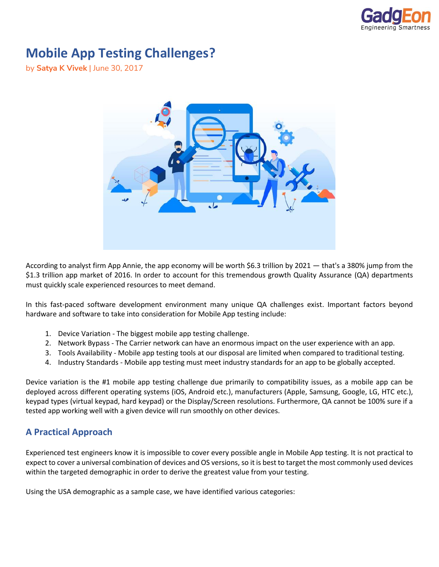

## **Mobile App Testing Challenges?**

by **Satya K Vivek** | June 30, 2017



According to analyst firm App Annie, the app economy will be worth \$6.3 trillion by 2021 — that's a 380% jump from the \$1.3 trillion app market of 2016. In order to account for this tremendous growth Quality Assurance (QA) departments must quickly scale experienced resources to meet demand.

In this fast-paced software development environment many unique QA challenges exist. Important factors beyond hardware and software to take into consideration for Mobile App testing include:

- 1. Device Variation The biggest mobile app testing challenge.
- 2. Network Bypass The Carrier network can have an enormous impact on the user experience with an app.
- 3. Tools Availability Mobile app testing tools at our disposal are limited when compared to traditional testing.
- 4. Industry Standards Mobile app testing must meet industry standards for an app to be globally accepted.

Device variation is the #1 mobile app testing challenge due primarily to compatibility issues, as a mobile app can be deployed across different operating systems (iOS, Android etc.), manufacturers (Apple, Samsung, Google, LG, HTC etc.), keypad types (virtual keypad, hard keypad) or the Display/Screen resolutions. Furthermore, QA cannot be 100% sure if a tested app working well with a given device will run smoothly on other devices.

## **A Practical Approach**

Experienced test engineers know it is impossible to cover every possible angle in Mobile App testing. It is not practical to expect to cover a universal combination of devices and OS versions, so it is best to target the most commonly used devices within the targeted demographic in order to derive the greatest value from your testing.

Using the USA demographic as a sample case, we have identified various categories: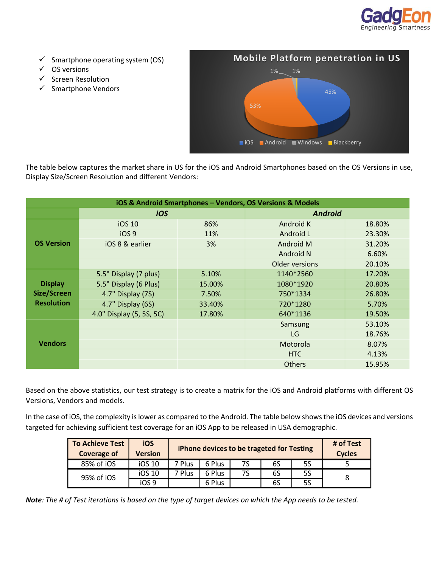

- $\checkmark$  Smartphone operating system (OS)
- ✓ OS versions
- ✓ Screen Resolution
- ✓ Smartphone Vendors



The table below captures the market share in US for the iOS and Android Smartphones based on the OS Versions in use, Display Size/Screen Resolution and different Vendors:

| iOS & Android Smartphones - Vendors, OS Versions & Models |                          |        |                |        |  |  |  |
|-----------------------------------------------------------|--------------------------|--------|----------------|--------|--|--|--|
|                                                           | iOS                      |        | <b>Android</b> |        |  |  |  |
| <b>OS Version</b>                                         | iOS 10                   | 86%    | Android K      |        |  |  |  |
|                                                           | iOS <sub>9</sub>         | 11%    | Android L      | 23.30% |  |  |  |
|                                                           | iOS 8 & earlier          | 3%     | Android M      | 31.20% |  |  |  |
|                                                           |                          |        | Android N      | 6.60%  |  |  |  |
|                                                           |                          |        | Older versions | 20.10% |  |  |  |
| <b>Display</b><br>Size/Screen<br><b>Resolution</b>        | 5.5" Display (7 plus)    | 5.10%  | 1140*2560      | 17.20% |  |  |  |
|                                                           | 5.5" Display (6 Plus)    | 15.00% | 1080*1920      | 20.80% |  |  |  |
|                                                           | 4.7" Display (7S)        | 7.50%  | 750*1334       | 26.80% |  |  |  |
|                                                           | 4.7" Display (6S)        | 33.40% | 720*1280       | 5.70%  |  |  |  |
|                                                           | 4.0" Display (5, 5S, 5C) | 17.80% |                | 19.50% |  |  |  |
| <b>Vendors</b>                                            |                          |        | Samsung        | 53.10% |  |  |  |
|                                                           |                          |        | LG             | 18.76% |  |  |  |
|                                                           |                          |        | Motorola       | 8.07%  |  |  |  |
|                                                           |                          |        | <b>HTC</b>     | 4.13%  |  |  |  |
|                                                           |                          |        | <b>Others</b>  | 15.95% |  |  |  |

Based on the above statistics, our test strategy is to create a matrix for the iOS and Android platforms with different OS Versions, Vendors and models.

In the case of iOS, the complexity is lower as compared to the Android. The table below shows the iOS devices and versions targeted for achieving sufficient test coverage for an iOS App to be released in USA demographic.

| <b>To Achieve Test</b><br><b>Coverage of</b> | iOS<br>Version |        | iPhone devices to be trageted for Testing |    |    |    |  |
|----------------------------------------------|----------------|--------|-------------------------------------------|----|----|----|--|
| 85% of iOS                                   | iOS 10         | 7 Plus | 6 Plus                                    | 7S | 6S | 5S |  |
| 95% of iOS                                   | iOS 10         | 7 Plus | 6 Plus                                    | 7S | 6S | 5S |  |
|                                              | iOS 9          |        | 6 Plus                                    |    | 6S | 5S |  |

*Note: The # of Test iterations is based on the type of target devices on which the App needs to be tested.*